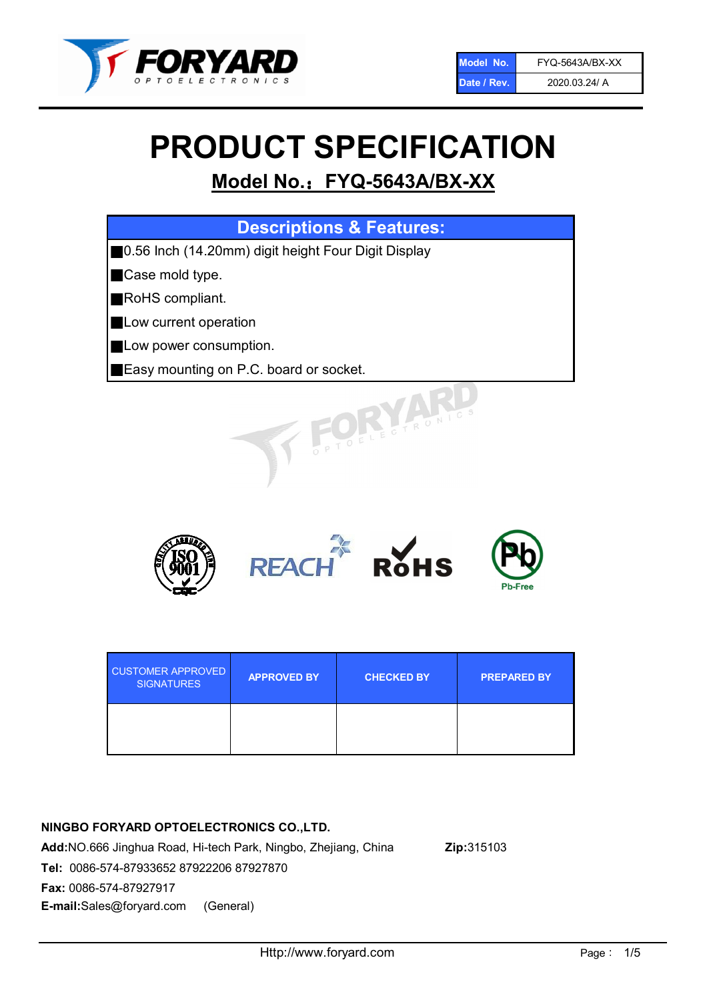

# PRODUCT SPECIFICATION

# Model No.: FYQ-5643A/BX-XX

| <b>Descriptions &amp; Features:</b>                  |
|------------------------------------------------------|
| ■0.56 Inch (14.20mm) digit height Four Digit Display |
| Case mold type.                                      |
| <b>RoHS</b> compliant.                               |
| Low current operation                                |
| Low power consumption.                               |
| <b>Easy mounting on P.C. board or socket.</b>        |
| TOELECTRONIC                                         |



| <b>CUSTOMER APPROVED</b><br><b>SIGNATURES</b> | <b>APPROVED BY</b> | <b>CHECKED BY</b> | <b>PREPARED BY</b> |
|-----------------------------------------------|--------------------|-------------------|--------------------|
|                                               |                    |                   |                    |

# NINGBO FORYARD OPTOELECTRONICS CO.,LTD.

Add:NO.666 Jinghua Road, Hi-tech Park, Ningbo, Zhejiang, China Zip:315103 Tel: 0086-574-87933652 87922206 87927870 Fax: 0086-574-87927917 E-mail:Sales@foryard.com (General)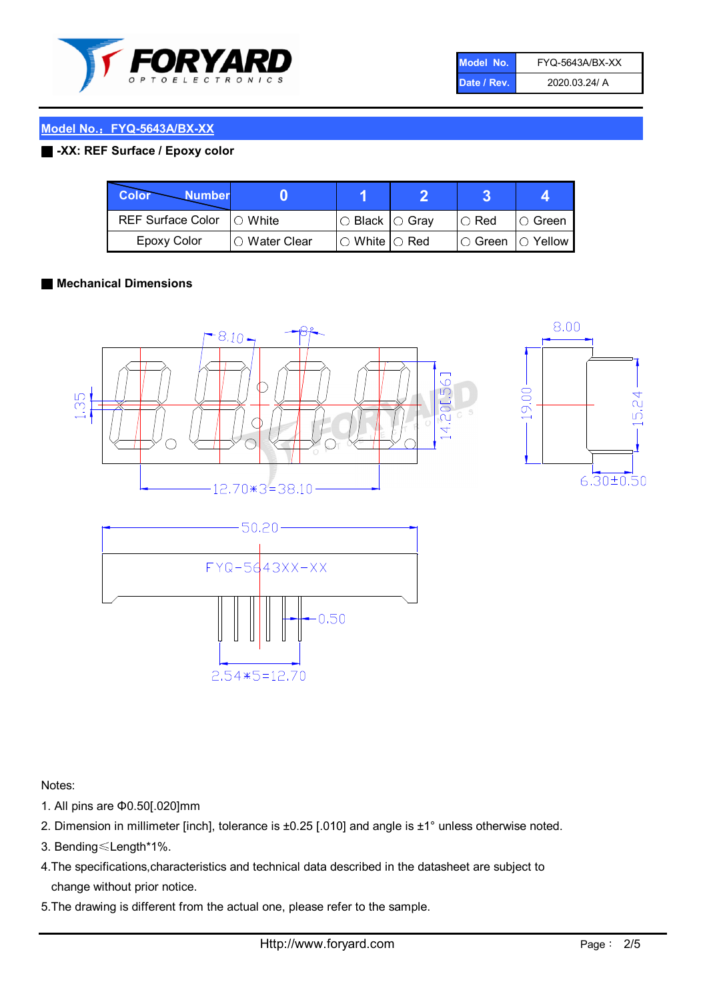

| Model No.   | FYQ-5643A/BX-XX |
|-------------|-----------------|
| Date / Rev. | 2020.03.24/ A   |

# Model No.: FYQ-5643A/BX-XX

# ■ -XX: REF Surface / Epoxy color

| Color<br><b>Number</b>      |                |                                                   |               |                   |
|-----------------------------|----------------|---------------------------------------------------|---------------|-------------------|
| REF Surface Color   O White |                | $\circ$ Black $\circ$ Gray                        | $\circ$ Red   | $\circ$ Green     |
| Epoxy Color                 | I∩ Water Clear | $\mathbin{\varcap}$ White $\mathbin{\varcap}$ Red | $\circ$ Green | $\bigcirc$ Yellow |

#### ■ Mechanical Dimensions







Notes:

- 1. All pins are Φ0.50[.020]mm
- 2. Dimension in millimeter [inch], tolerance is ±0.25 [.010] and angle is ±1° unless otherwise noted.
- 3. Bending≤Length\*1%.
- 4.The specifications,characteristics and technical data described in the datasheet are subject to change without prior notice.
- 5.The drawing is different from the actual one, please refer to the sample.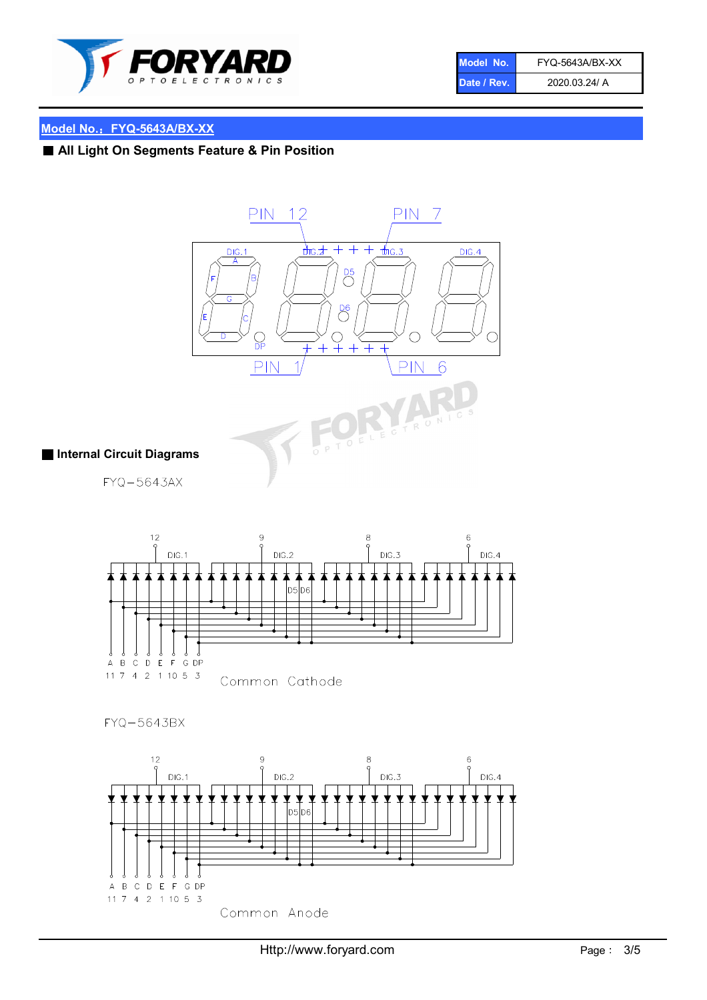

| Model No.   | FYQ-5643A/BX-XX |
|-------------|-----------------|
| Date / Rev. | 2020.03.24/ A   |

# Model No.: FYQ-5643A/BX-XX

# ■ All Light On Segments Feature & Pin Position



#### ■ Internal Circuit Diagrams

FYQ-5643AX



# FYQ-5643BX

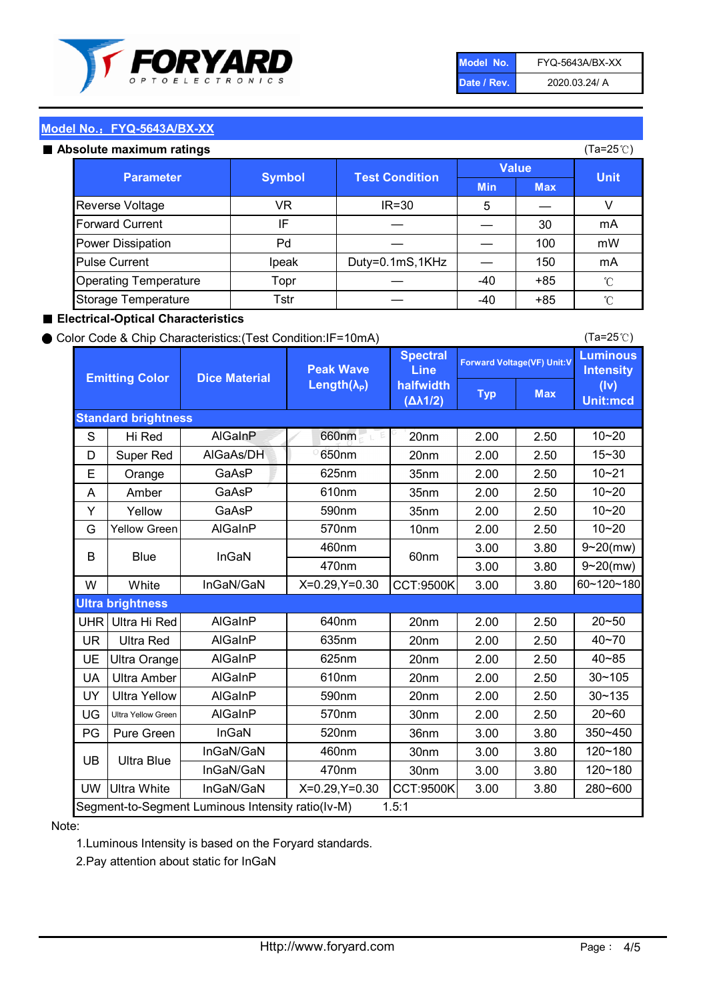

| Model No.   | FYQ-5643A/BX-XX |
|-------------|-----------------|
| Date / Rev. | 2020.03.24/ A   |

(Ta=25℃)

## Model No.: FYQ-5643A/BX-XX

#### Absolute maximum

| solute maximum ratings       |               |                       |              |            | (Ta=25℃)    |
|------------------------------|---------------|-----------------------|--------------|------------|-------------|
| <b>Parameter</b>             | <b>Symbol</b> | <b>Test Condition</b> | <b>Value</b> |            |             |
|                              |               |                       | <b>Min</b>   | <b>Max</b> | <b>Unit</b> |
| Reverse Voltage              | VR            | $IR = 30$             | 5            |            |             |
| <b>Forward Current</b>       | IF            |                       |              | 30         | mA          |
| Power Dissipation            | Pd            |                       |              | 100        | mW          |
| <b>Pulse Current</b>         | Ipeak         | Duty=0.1mS,1KHz       |              | 150        | mA          |
| <b>Operating Temperature</b> | Topr          |                       | $-40$        | $+85$      | °C          |
| Storage Temperature          | Tstr          |                       | -40          | $+85$      | °C          |

#### ■ Electrical-Optical Characteristics

#### ● Color Code & Chip Characteristics:(Test Condition:IF=10mA)

Typ Max S | Hi $\textsf{Red}$  | AlGaInP | 660nm LE 20nm | 2.00 | 2.50 D | Super Red | AIGaAs/DH | 650nm | 20nm | 2.00 | 2.50 E | Orange | GaAsP | 625nm | 35nm | 2.00 | 2.50 A | Amber | GaAsP | 610nm | 35nm | 2.00 | 2.50 Y | Yellow | GaAsP | 590nm | 35nm | 2.00 | 2.50 G Yellow Green AIGaInP | 570nm | 10nm | 2.00 | 2.50 3.00 3.80 3.00 3.80 W | White | InGaN/GaN | X=0.29,Y=0.30 |CCT:9500K| 3.00 | 3.80 UHR Ultra Hi Red | AlGaInP | 640nm | 20nm | 2.00 | 2.50 UR | Ultra Red | AlGaInP | 635nm | 20nm | 2.00 | 2.50 UE Ultra Orange | AIGaInP | 625nm | 20nm | 2.00 | 2.50 UA Ultra Amber | AIGaInP | 610nm | 20nm | 2.00 | 2.50  $UV$  Ultra Yellow  $\vert$  AlGaInP  $\vert$  590nm  $\vert$  20nm  $\vert$  2.00  $\vert$  2.50  $\text{UG}$  Ultra Yellow Green | AIGaInP | 570nm | 30nm | 2.00 | 2.50 PG Pure Green | InGaN | 520nm | 36nm | 3.00 | 3.80 30nm 3.00 3.80 30nm 3.00 3.80 UW |Ultra White | InGaN/GaN | X=0.29,Y=0.30 |CCT:9500K| 3.00 | 3.80 40~85 60~120~180 40~70 Segment-to-Segment Luminous Intensity ratio(Iv-M) 1.5:1 610nm 9~20(mw) 350~450 470nm 120~180 120~180 Ultra Blue InGaN/GaN InGaN/GaN 9~20(mw) 20~50 280~600 570nm | 30nm | 2.00 | 2.50 | 20~60 470nm 590nm InGaN/GaN B Blue I InGaN 570nm | 10nm | 2.00 | 2.50 | 10~20 30~105 30~135 460nm 520nm Ultra brightness **AlGaInP** AlGaInP 60nm AlGaInP 640nm Peak Wave Length $(\lambda_{\rm P})$ UB 460nm 635nm AlGaInP AlGaInP AlGaInP InGaN/GaN AlGaInP 10~20 Luminous **Intensity** (Iv) Unit:mcd AlGainP 660nm GaAsP GaAsP AlGaAs/DH **Spectral** Line halfwidth (∆λ1/2) 10~20 Standard brightness Forward Voltage(VF) Unit:V 15~30 10~20 625nm GaAsP 590nm **Emitting Color Dice Material** 10~21 610nm

#### Note:

1.Luminous Intensity is based on the Foryard standards.

2.Pay attention about static for InGaN